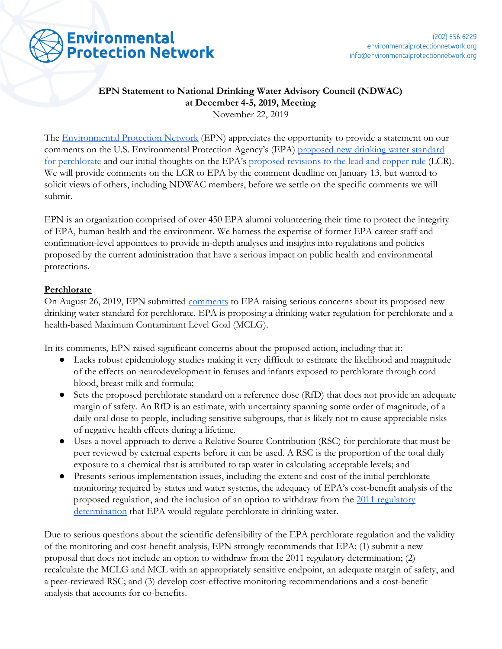

## **EPN Statement to National Drinking Water Advisory Council (NDWAC) at December 4-5, 2019, Meeting** November 22, 2019

The [Environmental Protection Network](https://www.environmentalprotectionnetwork.org/) (EPN) appreciates the opportunity to provide a statement on our comments on the U.S. Environmental Protection Agency's (EPA) [proposed new drinking water standard](https://www.federalregister.gov/documents/2019/06/26/2019-12773/national-primary-drinking-water-regulations-perchlorate) [for perchlorate](https://www.federalregister.gov/documents/2019/06/26/2019-12773/national-primary-drinking-water-regulations-perchlorate) and our initial thoughts on the EPA's [proposed revisions to the lead and copper rule](https://www.federalregister.gov/documents/2019/11/13/2019-22705/national-primary-drinking-water-regulations-proposed-lead-and-copper-rule-revisions) (LCR). We will provide comments on the LCR to EPA by the comment deadline on January 13, but wanted to solicit views of others, including NDWAC members, before we settle on the specific comments we will submit.

EPN is an organization comprised of over 450 EPA alumni volunteering their time to protect the integrity of EPA, human health and the environment. We harness the expertise of former EPA career staff and confirmation-level appointees to provide in-depth analyses and insights into regulations and policies proposed by the current administration that have a serious impact on public health and environmental protections.

## **Perchlorate**

On August 26, 2019, EPN submitted [comments](https://www.environmentalprotectionnetwork.org/perchlorate-water-standard/) to EPA raising serious concerns about its proposed new drinking water standard for perchlorate. EPA is proposing a drinking water regulation for perchlorate and a health-based Maximum Contaminant Level Goal (MCLG).

In its comments, EPN raised significant concerns about the proposed action, including that it:

- Lacks robust epidemiology studies making it very difficult to estimate the likelihood and magnitude of the effects on neurodevelopment in fetuses and infants exposed to perchlorate through cord blood, breast milk and formula;
- Sets the proposed perchlorate standard on a reference dose (RfD) that does not provide an adequate margin of safety. An RfD is an estimate, with uncertainty spanning some order of magnitude, of a daily oral dose to people, including sensitive subgroups, that is likely not to cause appreciable risks of negative health effects during a lifetime.
- Uses a novel approach to derive a Relative Source Contribution (RSC) for perchlorate that must be peer reviewed by external experts before it can be used. A RSC is the proportion of the total daily exposure to a chemical that is attributed to tap water in calculating acceptable levels; and
- Presents serious implementation issues, including the extent and cost of the initial perchlorate monitoring required by states and water systems, the adequacy of EPA's cost-benefit analysis of the proposed regulation, and the inclusion of an option to withdraw from the [2011 regulatory](https://www.federalregister.gov/documents/2011/02/11/2011-2603/drinking-water-regulatory-determination-on-perchlorate) [determination](https://www.federalregister.gov/documents/2011/02/11/2011-2603/drinking-water-regulatory-determination-on-perchlorate) that EPA would regulate perchlorate in drinking water.

Due to serious questions about the scientific defensibility of the EPA perchlorate regulation and the validity of the monitoring and cost-benefit analysis, EPN strongly recommends that EPA: (1) submit a new proposal that does not include an option to withdraw from the 2011 regulatory determination; (2) recalculate the MCLG and MCL with an appropriately sensitive endpoint, an adequate margin of safety, and a peer-reviewed RSC; and (3) develop cost-effective monitoring recommendations and a cost-benefit analysis that accounts for co-benefits.